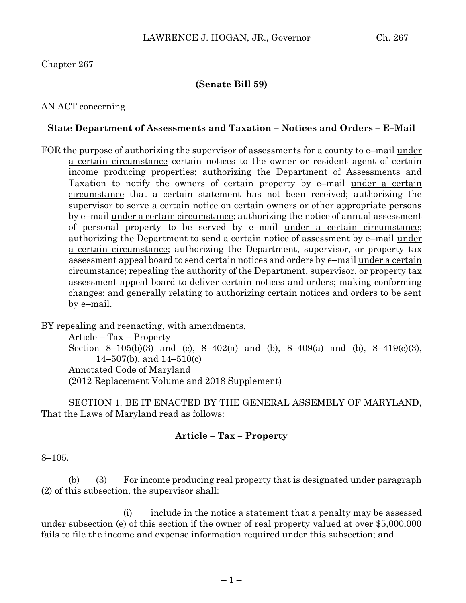### Chapter 267

### **(Senate Bill 59)**

AN ACT concerning

#### **State Department of Assessments and Taxation – Notices and Orders – E–Mail**

FOR the purpose of authorizing the supervisor of assessments for a county to e–mail under a certain circumstance certain notices to the owner or resident agent of certain income producing properties; authorizing the Department of Assessments and Taxation to notify the owners of certain property by e–mail under a certain circumstance that a certain statement has not been received; authorizing the supervisor to serve a certain notice on certain owners or other appropriate persons by e–mail under a certain circumstance; authorizing the notice of annual assessment of personal property to be served by e–mail under a certain circumstance; authorizing the Department to send a certain notice of assessment by e–mail under a certain circumstance; authorizing the Department, supervisor, or property tax assessment appeal board to send certain notices and orders by e–mail under a certain circumstance; repealing the authority of the Department, supervisor, or property tax assessment appeal board to deliver certain notices and orders; making conforming changes; and generally relating to authorizing certain notices and orders to be sent by e–mail.

BY repealing and reenacting, with amendments,

Article – Tax – Property Section 8–105(b)(3) and (c), 8–402(a) and (b), 8–409(a) and (b), 8–419(c)(3), 14–507(b), and 14–510(c) Annotated Code of Maryland (2012 Replacement Volume and 2018 Supplement)

SECTION 1. BE IT ENACTED BY THE GENERAL ASSEMBLY OF MARYLAND, That the Laws of Maryland read as follows:

### **Article – Tax – Property**

8–105.

(b) (3) For income producing real property that is designated under paragraph (2) of this subsection, the supervisor shall:

(i) include in the notice a statement that a penalty may be assessed under subsection (e) of this section if the owner of real property valued at over \$5,000,000 fails to file the income and expense information required under this subsection; and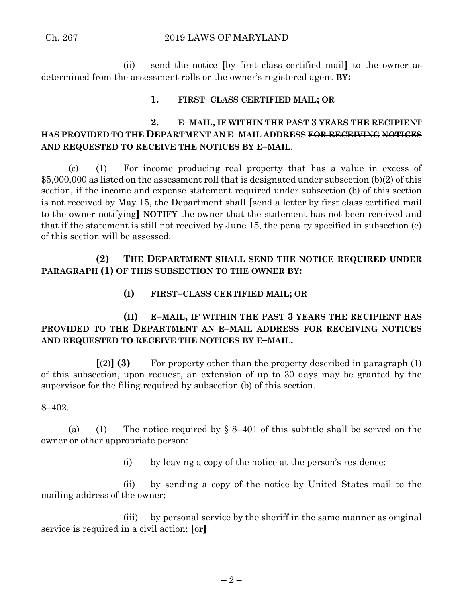(ii) send the notice **[**by first class certified mail**]** to the owner as determined from the assessment rolls or the owner's registered agent **BY:**

### **1. FIRST–CLASS CERTIFIED MAIL; OR**

# **2. E–MAIL, IF WITHIN THE PAST 3 YEARS THE RECIPIENT HAS PROVIDED TO THE DEPARTMENT AN E–MAIL ADDRESS FOR RECEIVING NOTICES AND REQUESTED TO RECEIVE THE NOTICES BY E–MAIL**.

(c) (1) For income producing real property that has a value in excess of \$5,000,000 as listed on the assessment roll that is designated under subsection (b)(2) of this section, if the income and expense statement required under subsection (b) of this section is not received by May 15, the Department shall **[**send a letter by first class certified mail to the owner notifying**] NOTIFY** the owner that the statement has not been received and that if the statement is still not received by June 15, the penalty specified in subsection (e) of this section will be assessed.

# **(2) THE DEPARTMENT SHALL SEND THE NOTICE REQUIRED UNDER PARAGRAPH (1) OF THIS SUBSECTION TO THE OWNER BY:**

### **(I) FIRST–CLASS CERTIFIED MAIL; OR**

# **(II) E–MAIL, IF WITHIN THE PAST 3 YEARS THE RECIPIENT HAS PROVIDED TO THE DEPARTMENT AN E–MAIL ADDRESS FOR RECEIVING NOTICES AND REQUESTED TO RECEIVE THE NOTICES BY E–MAIL.**

 $\lceil(2)\rceil$  **(3)** For property other than the property described in paragraph (1) of this subsection, upon request, an extension of up to 30 days may be granted by the supervisor for the filing required by subsection (b) of this section.

8–402.

(a) (1) The notice required by  $\S 8-401$  of this subtitle shall be served on the owner or other appropriate person:

(i) by leaving a copy of the notice at the person's residence;

(ii) by sending a copy of the notice by United States mail to the mailing address of the owner;

(iii) by personal service by the sheriff in the same manner as original service is required in a civil action; **[**or**]**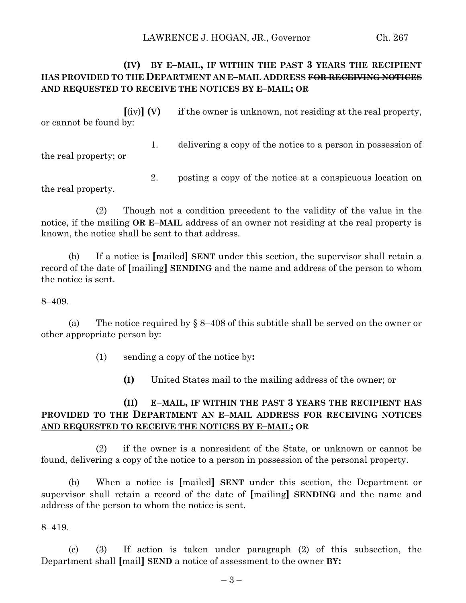# **(IV) BY E–MAIL, IF WITHIN THE PAST 3 YEARS THE RECIPIENT HAS PROVIDED TO THE DEPARTMENT AN E–MAIL ADDRESS FOR RECEIVING NOTICES AND REQUESTED TO RECEIVE THE NOTICES BY E–MAIL; OR**

**[**(iv)**] (V)** if the owner is unknown, not residing at the real property, or cannot be found by:

1. delivering a copy of the notice to a person in possession of the real property; or

2. posting a copy of the notice at a conspicuous location on the real property.

(2) Though not a condition precedent to the validity of the value in the notice, if the mailing **OR E–MAIL** address of an owner not residing at the real property is known, the notice shall be sent to that address.

(b) If a notice is **[**mailed**] SENT** under this section, the supervisor shall retain a record of the date of **[**mailing**] SENDING** and the name and address of the person to whom the notice is sent.

8–409.

(a) The notice required by  $\S 8-408$  of this subtitle shall be served on the owner or other appropriate person by:

(1) sending a copy of the notice by**:**

**(I)** United States mail to the mailing address of the owner; or

# **(II) E–MAIL, IF WITHIN THE PAST 3 YEARS THE RECIPIENT HAS PROVIDED TO THE DEPARTMENT AN E–MAIL ADDRESS FOR RECEIVING NOTICES AND REQUESTED TO RECEIVE THE NOTICES BY E–MAIL; OR**

(2) if the owner is a nonresident of the State, or unknown or cannot be found, delivering a copy of the notice to a person in possession of the personal property.

(b) When a notice is **[**mailed**] SENT** under this section, the Department or supervisor shall retain a record of the date of **[**mailing**] SENDING** and the name and address of the person to whom the notice is sent.

8–419.

(c) (3) If action is taken under paragraph (2) of this subsection, the Department shall **[**mail**] SEND** a notice of assessment to the owner **BY:**